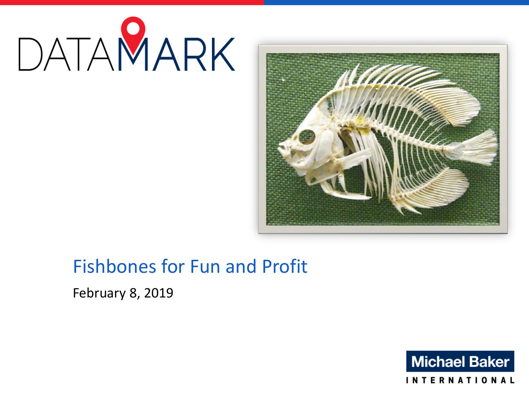



# Fishbones for Fun and Profit

February 8, 2019

**Michael Baker** 

**INTERNATIONAL**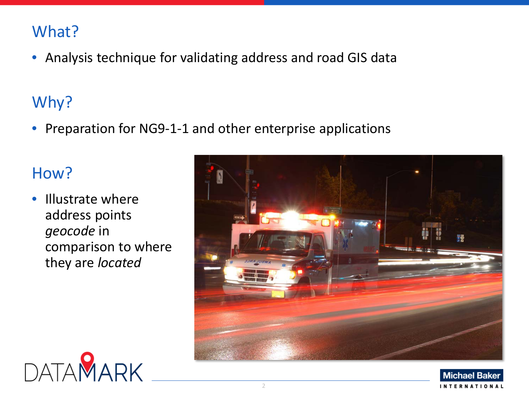## What?

• Analysis technique for validating address and road GIS data

# Why?

• Preparation for NG9-1-1 and other enterprise applications

## How?

• Illustrate where address points *geocode* in comparison to where they are *located*

DATAMARK



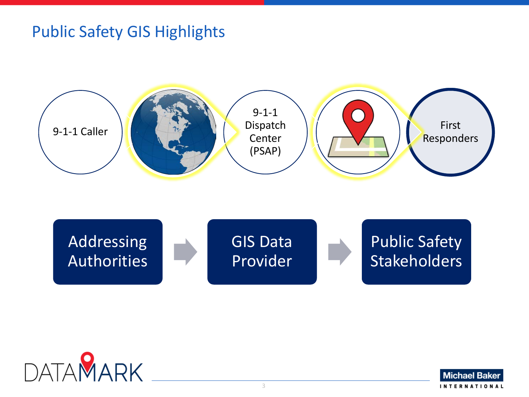## Public Safety GIS Highlights







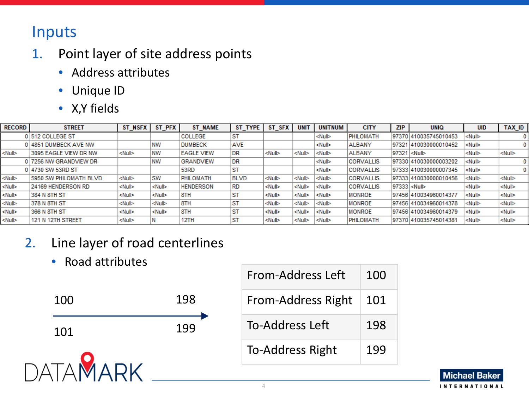## Inputs

- 1. Point layer of site address points
	- Address attributes
	- Unique ID
	- X,Y fields

| <b>RECORD</b>        | <b>STREET</b>                 | ST NSFX       | ST PFX        | <b>ST NAME</b>    | ST TYPE     | ST SFX        | <b>UNIT</b>   | <b>UNITNUM</b> | <b>CITY</b>      | <b>ZIP</b>          | <b>UNIO</b>           | <b>UID</b>    | TAX_ID        |
|----------------------|-------------------------------|---------------|---------------|-------------------|-------------|---------------|---------------|----------------|------------------|---------------------|-----------------------|---------------|---------------|
|                      | 0 512 COLLEGE ST              |               |               | <b>COLLEGE</b>    | ST          |               |               | ≺Null≻         | PHILOMATH        |                     | 97370 410035745010453 | <null></null> |               |
|                      | 0 4851 DUMBECK AVE NW         |               | <b>NW</b>     | <b>DUMBECK</b>    | <b>AVE</b>  |               |               | <null></null>  | <b>ALBANY</b>    |                     | 97321 410030000010452 | <null></null> |               |
| ≺Null>               | 3095 EAGLE VIEW DR NW         | <null></null> | <b>NW</b>     | <b>EAGLE VIEW</b> | DR          | ≺Nu∥≻         | <null></null> | ≺Null≻         | <b>ALBANY</b>    | 97321 <null></null> |                       | <null></null> | <null></null> |
|                      | 0 7256 NW GRANDVIEW DR        |               | <b>NW</b>     | <b>GRANDVIEW</b>  | <b>DR</b>   |               |               | ≺Nu∥≻          | <b>CORVALLIS</b> |                     | 97330 410030000003202 | <null></null> |               |
|                      | 0 4730 SW 53RD ST             |               |               | 53RD              | ST          |               |               | ≺Nu∥≻          | <b>CORVALLIS</b> |                     | 97333 410030000007345 | <null></null> |               |
| ≺Null≻               | <b>5950 SW PHILOMATH BLVD</b> | <null></null> | <b>SW</b>     | PHILOMATH         | <b>BLVD</b> | <null></null> | <null></null> | <null></null>  | <b>CORVALLIS</b> |                     | 97333 410030000010456 | <null></null> | <null></null> |
| <null></null>        | 24169 HENDERSON RD            | <null></null> | <null></null> | <b>HENDERSON</b>  | <b>RD</b>   | <null></null> | ≺Null≻        | ≺Null≻         | <b>CORVALLIS</b> | 97333 <null></null> |                       | <null></null> | <null></null> |
| <null></null>        | 1384 N 8TH ST                 | ≺Nu∥≻         | ≺Nu∥≻         | 8TH               | ST          | ≺Nu⊪≻         | <null></null> | <null></null>  | <b>MONROE</b>    |                     | 97456 410034960014377 | <null></null> | <null></null> |
| ≺Null>               | 378 N 8TH ST                  | ≺Null≻        | <null></null> | 8TH               | ST          | ≺Null>        | ≺Null≻        | ≺Null≻         | <b>MONROE</b>    |                     | 97456 410034960014378 | <null></null> | <null></null> |
| <b><null></null></b> | 366 N 8TH ST                  | <null></null> | <null></null> | 8TH               | ST          | ≺Nu⊪≻         | ≺Nu⊪≻         | <null></null>  | <b>MONROE</b>    |                     | 97456 410034960014379 | <null></null> | <null></null> |
| ≺Null≻               | 121 N 12TH STREET             | <null></null> |               | 12TH              | ST          | ≺Nu⊪≻         | <null></null> | <null></null>  | <b>PHILOMATH</b> |                     | 97370 410035745014381 | <nu⊪></nu⊪>   | <null></null> |

- 2. Line layer of road centerlines
	- Road attributes



| From-Address Left         | 100 |
|---------------------------|-----|
| <b>From-Address Right</b> | 101 |
| <b>To-Address Left</b>    | 198 |
| <b>To-Address Right</b>   | 199 |

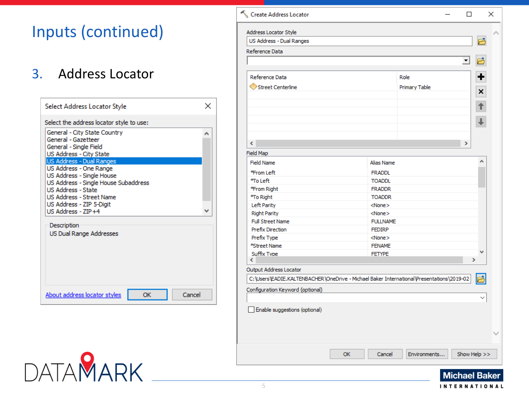## Inputs (continued)

#### 3. Address Locator

**DATAMARK** 



| Create Address Locator                                                                    |    |                 |               | □                    |   | × |
|-------------------------------------------------------------------------------------------|----|-----------------|---------------|----------------------|---|---|
| Address Locator Style                                                                     |    |                 |               |                      |   |   |
| US Address - Dual Ranges                                                                  |    |                 |               |                      | Ë |   |
| Reference Data                                                                            |    |                 |               |                      |   |   |
|                                                                                           |    |                 |               | ᅬ                    |   |   |
| Reference Data                                                                            |    |                 | Role          |                      | ╈ |   |
| Street Centerline                                                                         |    |                 | Primary Table |                      |   |   |
|                                                                                           |    |                 |               |                      | × |   |
|                                                                                           |    |                 |               |                      | ↑ |   |
|                                                                                           |    |                 |               |                      |   |   |
|                                                                                           |    |                 |               |                      |   |   |
|                                                                                           |    |                 |               |                      |   |   |
|                                                                                           |    |                 |               |                      |   |   |
| $\overline{\phantom{a}}$                                                                  |    |                 |               | Y.                   |   |   |
| Field Map                                                                                 |    |                 |               |                      |   |   |
| <b>Field Name</b>                                                                         |    | Alias Name      |               |                      |   |   |
| *From Left                                                                                |    | <b>FRADDL</b>   |               |                      |   |   |
| *To Left                                                                                  |    | <b>TOADDL</b>   |               |                      |   |   |
| *From Right                                                                               |    | <b>FRADDR</b>   |               |                      |   |   |
| *To Right                                                                                 |    | <b>TOADDR</b>   |               |                      |   |   |
| Left Parity                                                                               |    | $<$ None $>$    |               |                      |   |   |
| <b>Right Parity</b>                                                                       |    | $<$ None $>$    |               |                      |   |   |
| <b>Full Street Name</b>                                                                   |    | <b>FULLNAME</b> |               |                      |   |   |
| <b>Prefix Direction</b>                                                                   |    | <b>FEDIRP</b>   |               |                      |   |   |
| Prefix Type                                                                               |    | $<$ None $>$    |               |                      |   |   |
| *Street Name                                                                              |    | <b>FENAME</b>   |               |                      |   |   |
| Suffix Type                                                                               |    | <b>FETYPE</b>   |               |                      |   |   |
| ⋖                                                                                         |    |                 |               | X                    |   |   |
| Output Address Locator                                                                    |    |                 |               |                      |   |   |
| C:\Users\EADIE.KALTENBACHER\OneDrive - Michael Baker International\Presentations\2019-02- |    |                 |               |                      |   |   |
| Configuration Keyword (optional)                                                          |    |                 |               |                      |   |   |
|                                                                                           |    |                 |               |                      |   |   |
| Enable suggestions (optional)                                                             |    |                 |               |                      |   |   |
|                                                                                           |    |                 |               |                      |   |   |
|                                                                                           |    |                 |               |                      |   |   |
|                                                                                           |    |                 |               |                      |   |   |
|                                                                                           |    |                 |               |                      |   |   |
|                                                                                           |    |                 |               |                      |   |   |
|                                                                                           | OK | Cancel          | Environments  | Show Help >>         |   |   |
|                                                                                           |    |                 |               |                      |   |   |
|                                                                                           |    |                 |               | <b>Michael Raker</b> |   |   |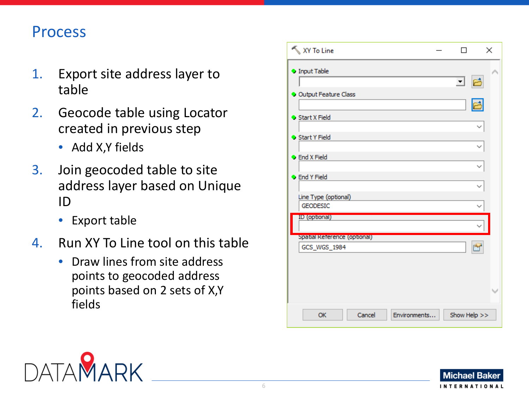## Process

- 1. Export site address layer to table
- 2. Geocode table using Locator created in previous step
	- Add X,Y fields
- 3. Join geocoded table to site address layer based on Unique ID
	- Export table
- 4. Run XY To Line tool on this table
	- Draw lines from site address points to geocoded address points based on 2 sets of X,Y fields

| XY To Line                                   | п            | ×            |
|----------------------------------------------|--------------|--------------|
| <b>O</b> Input Table                         |              |              |
|                                              | 回日           |              |
| O Output Feature Class                       |              | 鸤            |
| Start X Field                                |              |              |
|                                              |              | $\checkmark$ |
| Start Y Field                                |              |              |
| <b>C</b> End X Field                         |              |              |
| <b>C</b> End Y Field                         |              | $\checkmark$ |
|                                              |              |              |
| Line Type (optional)<br><b>GEODESIC</b>      |              |              |
| ID (optional)                                |              |              |
|                                              |              |              |
| Spatial Reference (optional)<br>GCS_WGS_1984 |              | 噜            |
|                                              |              |              |
|                                              |              |              |
|                                              |              |              |
|                                              |              |              |
| Cancel<br>Environments<br>OK                 | Show Help >> |              |



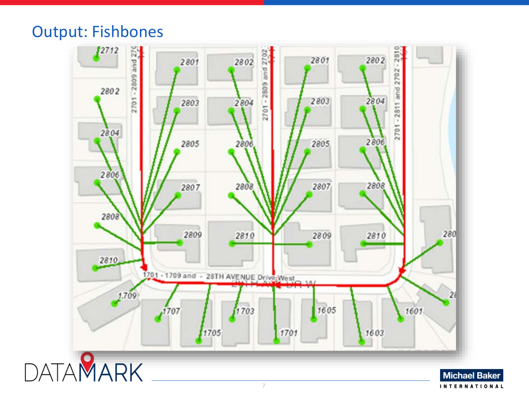### Output: Fishbones

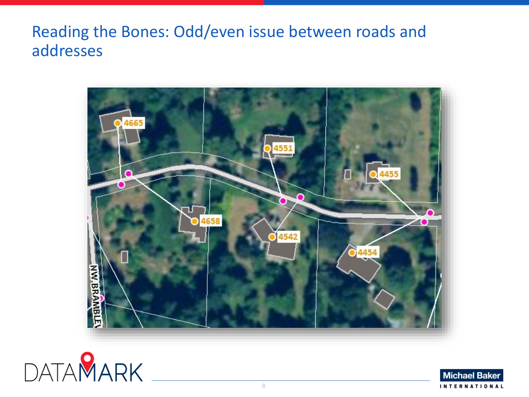Reading the Bones: Odd/even issue between roads and addresses





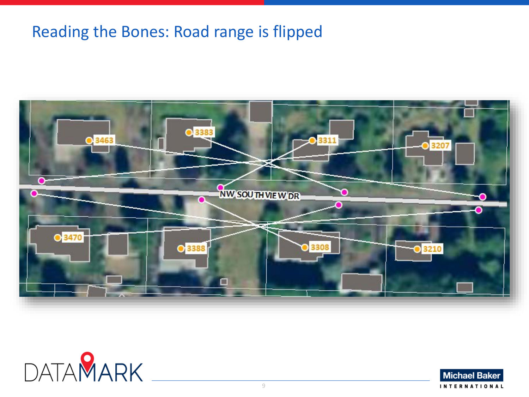## Reading the Bones: Road range is flipped





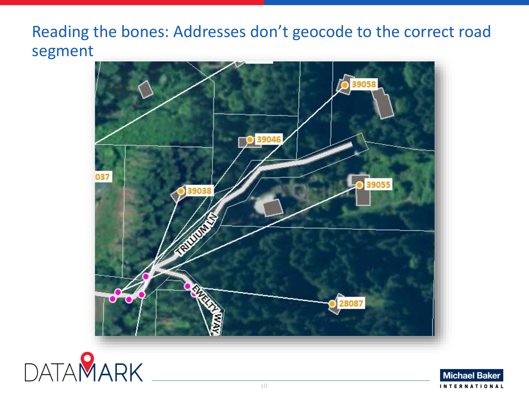## Reading the bones: Addresses don't geocode to the correct road segment





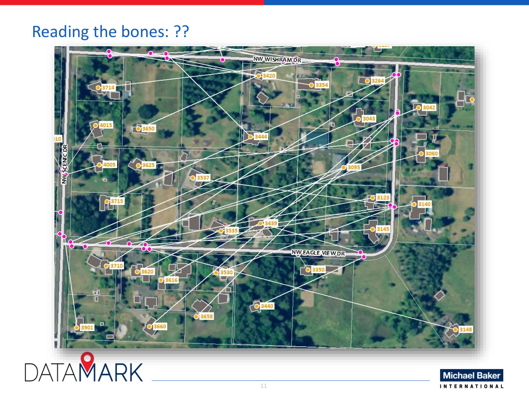## Reading the bones: ??